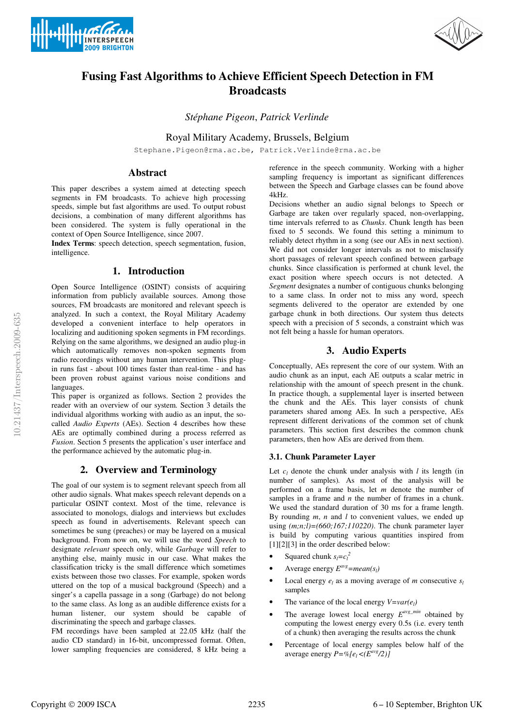



# **Fusing Fast Algorithms to Achieve Efficient Speech Detection in FM Broadcasts**

*Stéphane Pigeon*, *Patrick Verlinde*

Royal Military Academy, Brussels, Belgium

Stephane.Pigeon@rma.ac.be, Patrick.Verlinde@rma.ac.be

## **Abstract**

This paper describes a system aimed at detecting speech segments in FM broadcasts. To achieve high processing speeds, simple but fast algorithms are used. To output robust decisions, a combination of many different algorithms has been considered. The system is fully operational in the context of Open Source Intelligence, since 2007.

**Index Terms**: speech detection, speech segmentation, fusion, intelligence.

## **1. Introduction**

Open Source Intelligence (OSINT) consists of acquiring information from publicly available sources. Among those sources, FM broadcasts are monitored and relevant speech is analyzed. In such a context, the Royal Military Academy developed a convenient interface to help operators in localizing and auditioning spoken segments in FM recordings. Relying on the same algorithms, we designed an audio plug-in which automatically removes non-spoken segments from radio recordings without any human intervention. This plugin runs fast - about 100 times faster than real-time - and has been proven robust against various noise conditions and languages.

This paper is organized as follows. Section 2 provides the reader with an overview of our system. Section 3 details the individual algorithms working with audio as an input, the socalled *Audio Experts* (AEs). Section 4 describes how these AEs are optimally combined during a process referred as *Fusion*. Section 5 presents the application's user interface and the performance achieved by the automatic plug-in.

## **2. Overview and Terminology**

The goal of our system is to segment relevant speech from all other audio signals. What makes speech relevant depends on a particular OSINT context. Most of the time, relevance is associated to monologs, dialogs and interviews but excludes speech as found in advertisements. Relevant speech can sometimes be sung (preaches) or may be layered on a musical background. From now on, we will use the word *Speech* to designate *relevant* speech only, while *Garbage* will refer to anything else, mainly music in our case. What makes the classification tricky is the small difference which sometimes exists between those two classes. For example, spoken words uttered on the top of a musical background (Speech) and a singer's a capella passage in a song (Garbage) do not belong to the same class. As long as an audible difference exists for a human listener, our system should be capable of discriminating the speech and garbage classes.

FM recordings have been sampled at 22.05 kHz (half the audio CD standard) in 16-bit, uncompressed format. Often, lower sampling frequencies are considered, 8 kHz being a reference in the speech community. Working with a higher sampling frequency is important as significant differences between the Speech and Garbage classes can be found above 4kHz.

Decisions whether an audio signal belongs to Speech or Garbage are taken over regularly spaced, non-overlapping, time intervals referred to as *Chunks*. Chunk length has been fixed to 5 seconds. We found this setting a minimum to reliably detect rhythm in a song (see our AEs in next section). We did not consider longer intervals as not to misclassify short passages of relevant speech confined between garbage chunks. Since classification is performed at chunk level, the exact position where speech occurs is not detected. A *Segment* designates a number of contiguous chunks belonging to a same class. In order not to miss any word, speech segments delivered to the operator are extended by one garbage chunk in both directions. Our system thus detects speech with a precision of 5 seconds, a constraint which was not felt being a hassle for human operators.

## **3. Audio Experts**

Conceptually, AEs represent the core of our system. With an audio chunk as an input, each AE outputs a scalar metric in relationship with the amount of speech present in the chunk. In practice though, a supplemental layer is inserted between the chunk and the AEs. This layer consists of chunk parameters shared among AEs. In such a perspective, AEs represent different derivations of the common set of chunk parameters. This section first describes the common chunk parameters, then how AEs are derived from them.

### **3.1. Chunk Parameter Layer**

Let  $c_l$  denote the chunk under analysis with  $l$  its length (in number of samples)*.* As most of the analysis will be performed on a frame basis, let *m* denote the number of samples in a frame and *n* the number of frames in a chunk. We used the standard duration of 30 ms for a frame length. By rounding *m*, *n* and *l* to convenient values, we ended up using *(m;n;l)=(660;167;110220)*. The chunk parameter layer is build by computing various quantities inspired from [1][2][3] in the order described below:

- Squared chunk  $s_l = c_l^2$
- Average energy  $E^{avg} = mean(s_l)$
- Local energy  $e_l$  as a moving average of *m* consecutive  $s_l$ samples
- The variance of the local energy  $V=var(e_l)$
- The average lowest local energy  $E^{avg\_min}$  obtained by computing the lowest energy every 0.5s (i.e. every tenth of a chunk) then averaging the results across the chunk
- Percentage of local energy samples below half of the average energy  $P = \frac{\%}{e_i} \leq (E^{avg}/2)$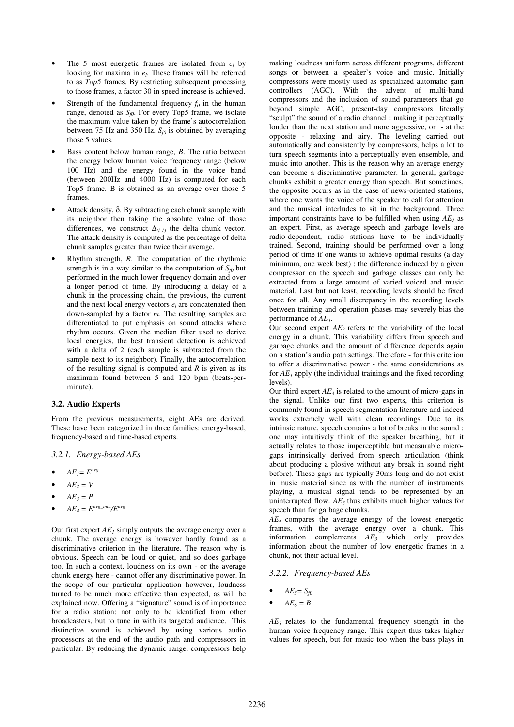- The 5 most energetic frames are isolated from  $c_l$  by looking for maxima in  $e_l$ . These frames will be referred to as *Top5* frames. By restricting subsequent processing to those frames, a factor 30 in speed increase is achieved.
- Strength of the fundamental frequency  $f_0$  in the human range, denoted as  $S_f$ . For every Top5 frame, we isolate the maximum value taken by the frame's autocorrelation between 75 Hz and 350 Hz.  $S_{f0}$  is obtained by averaging those 5 values.
- Bass content below human range, *B*. The ratio between the energy below human voice frequency range (below 100 Hz) and the energy found in the voice band (between 200Hz and 4000 Hz) is computed for each Top5 frame. B is obtained as an average over those 5 frames.
- Attack density,  $\delta$ . By subtracting each chunk sample with its neighbor then taking the absolute value of those differences, we construct  $\Delta_{(l-1)}$  the delta chunk vector. The attack density is computed as the percentage of delta chunk samples greater than twice their average.
- Rhythm strength, *R*. The computation of the rhythmic strength is in a way similar to the computation of  $S_{f0}$  but performed in the much lower frequency domain and over a longer period of time. By introducing a delay of a chunk in the processing chain, the previous, the current and the next local energy vectors  $e_l$  are concatenated then down-sampled by a factor *m*. The resulting samples are differentiated to put emphasis on sound attacks where rhythm occurs. Given the median filter used to derive local energies, the best transient detection is achieved with a delta of 2 (each sample is subtracted from the sample next to its neighbor). Finally, the autocorrelation of the resulting signal is computed and *R* is given as its maximum found between 5 and 120 bpm (beats-perminute).

#### **3.2. Audio Experts**

From the previous measurements, eight AEs are derived. These have been categorized in three families: energy-based, frequency-based and time-based experts.

*3.2.1. Energy-based AEs* 

- $AE_1 = E^{avg}$
- $AE_2 = V$
- $AE_3 = P$
- $AE_4 = E^{avg\_min}/E^{avg}$

Our first expert  $AE<sub>I</sub>$  simply outputs the average energy over a chunk. The average energy is however hardly found as a discriminative criterion in the literature. The reason why is obvious. Speech can be loud or quiet, and so does garbage too. In such a context, loudness on its own - or the average chunk energy here - cannot offer any discriminative power. In the scope of our particular application however, loudness turned to be much more effective than expected, as will be explained now. Offering a "signature" sound is of importance for a radio station: not only to be identified from other broadcasters, but to tune in with its targeted audience. This distinctive sound is achieved by using various audio processors at the end of the audio path and compressors in particular. By reducing the dynamic range, compressors help

making loudness uniform across different programs, different songs or between a speaker's voice and music. Initially compressors were mostly used as specialized automatic gain controllers (AGC). With the advent of multi-band compressors and the inclusion of sound parameters that go beyond simple AGC, present-day compressors literally "sculpt" the sound of a radio channel : making it perceptually louder than the next station and more aggressive, or - at the opposite - relaxing and airy. The leveling carried out automatically and consistently by compressors, helps a lot to turn speech segments into a perceptually even ensemble, and music into another. This is the reason why an average energy can become a discriminative parameter. In general, garbage chunks exhibit a greater energy than speech. But sometimes, the opposite occurs as in the case of news-oriented stations, where one wants the voice of the speaker to call for attention and the musical interludes to sit in the background. Three important constraints have to be fulfilled when using *AE<sup>1</sup>* as an expert. First, as average speech and garbage levels are radio-dependent, radio stations have to be individually trained. Second, training should be performed over a long period of time if one wants to achieve optimal results (a day minimum, one week best) : the difference induced by a given compressor on the speech and garbage classes can only be extracted from a large amount of varied voiced and music material. Last but not least, recording levels should be fixed once for all. Any small discrepancy in the recording levels between training and operation phases may severely bias the performance of *AE<sup>1</sup>* .

Our second expert  $AE_2$  refers to the variability of the local energy in a chunk. This variability differs from speech and garbage chunks and the amount of difference depends again on a station's audio path settings. Therefore - for this criterion to offer a discriminative power - the same considerations as for  $AE<sub>1</sub>$  apply (the individual trainings and the fixed recording levels).

Our third expert  $AE_3$  is related to the amount of micro-gaps in the signal. Unlike our first two experts, this criterion is commonly found in speech segmentation literature and indeed works extremely well with clean recordings. Due to its intrinsic nature, speech contains a lot of breaks in the sound : one may intuitively think of the speaker breathing, but it actually relates to those imperceptible but measurable microgaps intrinsically derived from speech articulation (think about producing a plosive without any break in sound right before). These gaps are typically 30ms long and do not exist in music material since as with the number of instruments playing, a musical signal tends to be represented by an uninterrupted flow. *AE3* thus exhibits much higher values for speech than for garbage chunks.

*AE4* compares the average energy of the lowest energetic frames, with the average energy over a chunk. This information complements *AE<sup>3</sup>* which only provides information about the number of low energetic frames in a chunk, not their actual level.

#### *3.2.2. Frequency-based AEs*

- $AE_5 = S_{f0}$
- $AE_6 = B$

*AE5* relates to the fundamental frequency strength in the human voice frequency range. This expert thus takes higher values for speech, but for music too when the bass plays in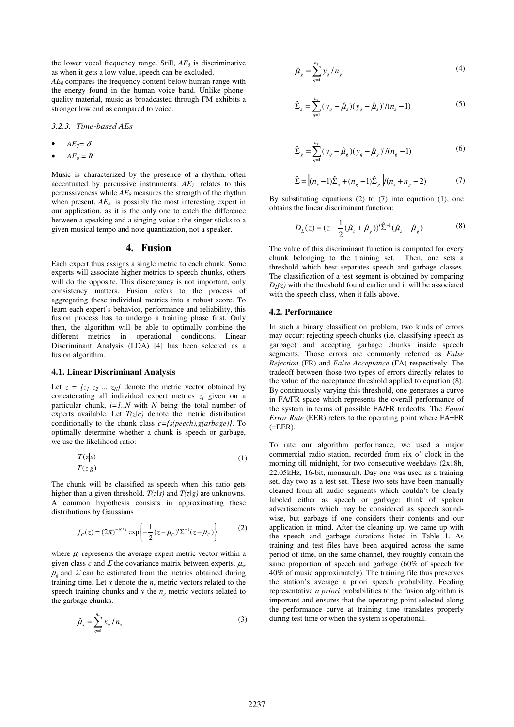the lower vocal frequency range. Still, *AE<sup>5</sup>* is discriminative as when it gets a low value, speech can be excluded.

*AE6* compares the frequency content below human range with the energy found in the human voice band. Unlike phonequality material, music as broadcasted through FM exhibits a stronger low end as compared to voice.

*3.2.3. Time-based AEs* 

- $AE_7 = \delta$
- $AE_8 = R$

Music is characterized by the presence of a rhythm, often accentuated by percussive instruments. *AE7* relates to this percussiveness while *AE8* measures the strength of the rhythm when present.  $AE_8$  is possibly the most interesting expert in our application, as it is the only one to catch the difference between a speaking and a singing voice : the singer sticks to a given musical tempo and note quantization, not a speaker.

#### **4. Fusion**

Each expert thus assigns a single metric to each chunk. Some experts will associate higher metrics to speech chunks, others will do the opposite. This discrepancy is not important, only consistency matters. Fusion refers to the process of aggregating these individual metrics into a robust score. To learn each expert's behavior, performance and reliability, this fusion process has to undergo a training phase first. Only then, the algorithm will be able to optimally combine the different metrics in operational conditions. Linear Discriminant Analysis (LDA) [4] has been selected as a fusion algorithm.

#### **4.1. Linear Discriminant Analysis**

Let  $z = [z_1 \, z_2 \, \dots \, z_N]$  denote the metric vector obtained by concatenating all individual expert metrics  $z_i$  given on a particular chunk, *i=1..N* with *N* being the total number of experts available. Let  $T(z|c)$  denote the metric distribution conditionally to the chunk class *c={s(peech),g(arbage)}*. To optimally determine whether a chunk is speech or garbage, we use the likelihood ratio:

$$
\frac{T(z|s)}{T(z|g)}
$$
 (1)

The chunk will be classified as speech when this ratio gets higher than a given threshold. *T(z|s)* and *T(z|g)* are unknowns. A common hypothesis consists in approximating these distributions by Gaussians

$$
f_C(z) = (2\pi)^{-N/2} \exp\left\{-\frac{1}{2}(z - \mu_C)^\prime \Sigma^{-1} (z - \mu_C)\right\}
$$
 (2)

where  $\mu_c$  represents the average expert metric vector within a given class *c* and  $\Sigma$  the covariance matrix between experts.  $\mu_s$ ,  $\mu_{\varphi}$  and  $\Sigma$  can be estimated from the metrics obtained during training time. Let  $x$  denote the  $n<sub>s</sub>$  metric vectors related to the speech training chunks and  $y$  the  $n_g$  metric vectors related to the garbage chunks.

$$
\hat{\mu}_s = \sum_{q=1}^{n_s} x_q / n_s \tag{3}
$$

$$
\hat{\mu}_g = \sum_{q=1}^{n_g} y_q / n_g \tag{4}
$$

$$
\hat{\Sigma}_s = \sum_{q=1}^{n_s} (\gamma_q - \hat{\mu}_s)(\gamma_q - \hat{\mu}_s)' / (n_s - 1)
$$
\n(5)

$$
\hat{\Sigma}_g = \sum_{q=1}^{n_g} (y_q - \hat{\mu}_g)(y_q - \hat{\mu}_g)'/(n_g - 1)
$$
\n(6)

$$
\hat{\Sigma} = \left[ (n_s - 1)\hat{\Sigma}_s + (n_g - 1)\hat{\Sigma}_g \right] / (n_s + n_g - 2) \tag{7}
$$

By substituting equations  $(2)$  to  $(7)$  into equation  $(1)$ , one obtains the linear discriminant function:

$$
D_L(z) = (z - \frac{1}{2}(\hat{\mu}_s + \hat{\mu}_g))'\hat{\Sigma}^{-1}(\hat{\mu}_s - \hat{\mu}_g)
$$
(8)

The value of this discriminant function is computed for every chunk belonging to the training set. Then, one sets a threshold which best separates speech and garbage classes. The classification of a test segment is obtained by comparing  $D<sub>L</sub>(z)$  with the threshold found earlier and it will be associated with the speech class, when it falls above.

#### **4.2. Performance**

In such a binary classification problem, two kinds of errors may occur: rejecting speech chunks (i.e. classifying speech as garbage) and accepting garbage chunks inside speech segments. Those errors are commonly referred as *False Rejection* (FR) and *False Acceptance* (FA) respectively. The tradeoff between those two types of errors directly relates to the value of the acceptance threshold applied to equation (8). By continuously varying this threshold, one generates a curve in FA/FR space which represents the overall performance of the system in terms of possible FA/FR tradeoffs. The *Equal Error Rate* (EER) refers to the operating point where FA=FR  $(=EER)$ .

To rate our algorithm performance, we used a major commercial radio station, recorded from six o' clock in the morning till midnight, for two consecutive weekdays (2x18h, 22.05kHz, 16-bit, monaural). Day one was used as a training set, day two as a test set. These two sets have been manually cleaned from all audio segments which couldn't be clearly labeled either as speech or garbage: think of spoken advertisements which may be considered as speech soundwise, but garbage if one considers their contents and our application in mind. After the cleaning up, we came up with the speech and garbage durations listed in Table 1. As training and test files have been acquired across the same period of time, on the same channel, they roughly contain the same proportion of speech and garbage (60% of speech for 40% of music approximately). The training file thus preserves the station's average a priori speech probability. Feeding representative *a priori* probabilities to the fusion algorithm is important and ensures that the operating point selected along the performance curve at training time translates properly during test time or when the system is operational.